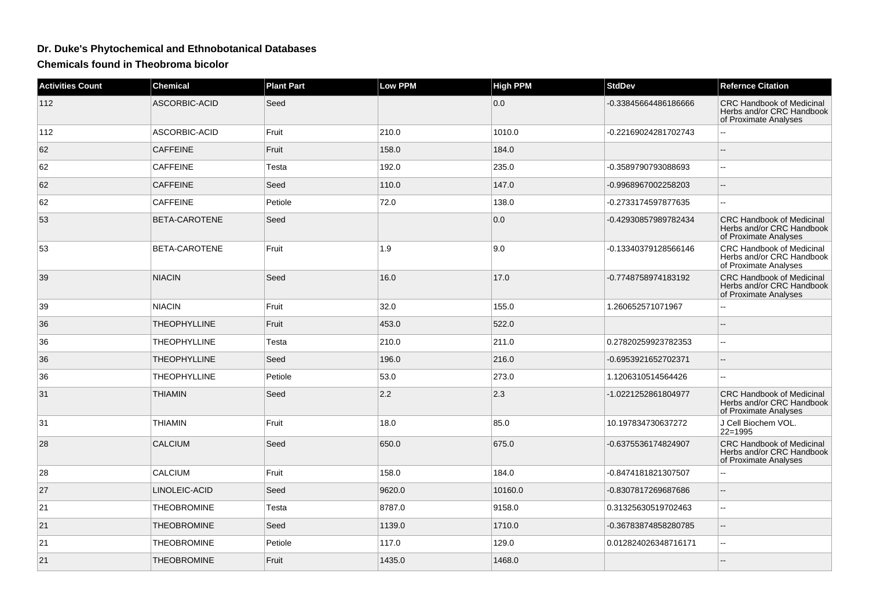## **Dr. Duke's Phytochemical and Ethnobotanical Databases**

**Chemicals found in Theobroma bicolor**

| <b>Activities Count</b> | <b>Chemical</b>     | <b>Plant Part</b> | Low PPM | <b>High PPM</b> | <b>StdDev</b>        | <b>Refernce Citation</b>                                                               |
|-------------------------|---------------------|-------------------|---------|-----------------|----------------------|----------------------------------------------------------------------------------------|
| 112                     | ASCORBIC-ACID       | Seed              |         | 0.0             | -0.33845664486186666 | <b>CRC Handbook of Medicinal</b><br>Herbs and/or CRC Handbook<br>of Proximate Analyses |
| 112                     | ASCORBIC-ACID       | Fruit             | 210.0   | 1010.0          | -0.22169024281702743 | Ξ.                                                                                     |
| 62                      | <b>CAFFEINE</b>     | Fruit             | 158.0   | 184.0           |                      |                                                                                        |
| 62                      | <b>CAFFEINE</b>     | Testa             | 192.0   | 235.0           | -0.3589790793088693  | 44                                                                                     |
| 62                      | <b>CAFFEINE</b>     | Seed              | 110.0   | 147.0           | -0.9968967002258203  | $\sim$                                                                                 |
| 62                      | <b>CAFFEINE</b>     | Petiole           | 72.0    | 138.0           | -0.2733174597877635  |                                                                                        |
| 53                      | BETA-CAROTENE       | Seed              |         | 0.0             | -0.42930857989782434 | <b>CRC Handbook of Medicinal</b><br>Herbs and/or CRC Handbook<br>of Proximate Analyses |
| 53                      | BETA-CAROTENE       | Fruit             | 1.9     | 9.0             | -0.13340379128566146 | CRC Handbook of Medicinal<br>Herbs and/or CRC Handbook<br>of Proximate Analyses        |
| 39                      | <b>NIACIN</b>       | Seed              | 16.0    | 17.0            | -0.7748758974183192  | <b>CRC Handbook of Medicinal</b><br>Herbs and/or CRC Handbook<br>of Proximate Analyses |
| 39                      | <b>NIACIN</b>       | Fruit             | 32.0    | 155.0           | 1.260652571071967    |                                                                                        |
| 36                      | <b>THEOPHYLLINE</b> | Fruit             | 453.0   | 522.0           |                      |                                                                                        |
| 36                      | <b>THEOPHYLLINE</b> | Testa             | 210.0   | 211.0           | 0.27820259923782353  |                                                                                        |
| 36                      | <b>THEOPHYLLINE</b> | Seed              | 196.0   | 216.0           | -0.6953921652702371  |                                                                                        |
| 36                      | THEOPHYLLINE        | Petiole           | 53.0    | 273.0           | 1.1206310514564426   | ۵.                                                                                     |
| 31                      | <b>THIAMIN</b>      | Seed              | 2.2     | 2.3             | -1.0221252861804977  | <b>CRC Handbook of Medicinal</b><br>Herbs and/or CRC Handbook<br>of Proximate Analyses |
| 31                      | <b>THIAMIN</b>      | Fruit             | 18.0    | 85.0            | 10.197834730637272   | J Cell Biochem VOL.<br>$22 = 1995$                                                     |
| 28                      | <b>CALCIUM</b>      | Seed              | 650.0   | 675.0           | -0.6375536174824907  | <b>CRC Handbook of Medicinal</b><br>Herbs and/or CRC Handbook<br>of Proximate Analyses |
| 28                      | <b>CALCIUM</b>      | Fruit             | 158.0   | 184.0           | -0.8474181821307507  | ۵.                                                                                     |
| 27                      | LINOLEIC-ACID       | Seed              | 9620.0  | 10160.0         | -0.8307817269687686  | $\overline{a}$                                                                         |
| 21                      | <b>THEOBROMINE</b>  | Testa             | 8787.0  | 9158.0          | 0.31325630519702463  | $\sim$                                                                                 |
| 21                      | <b>THEOBROMINE</b>  | Seed              | 1139.0  | 1710.0          | -0.36783874858280785 |                                                                                        |
| 21                      | <b>THEOBROMINE</b>  | Petiole           | 117.0   | 129.0           | 0.012824026348716171 | $\overline{a}$                                                                         |
| 21                      | <b>THEOBROMINE</b>  | Fruit             | 1435.0  | 1468.0          |                      |                                                                                        |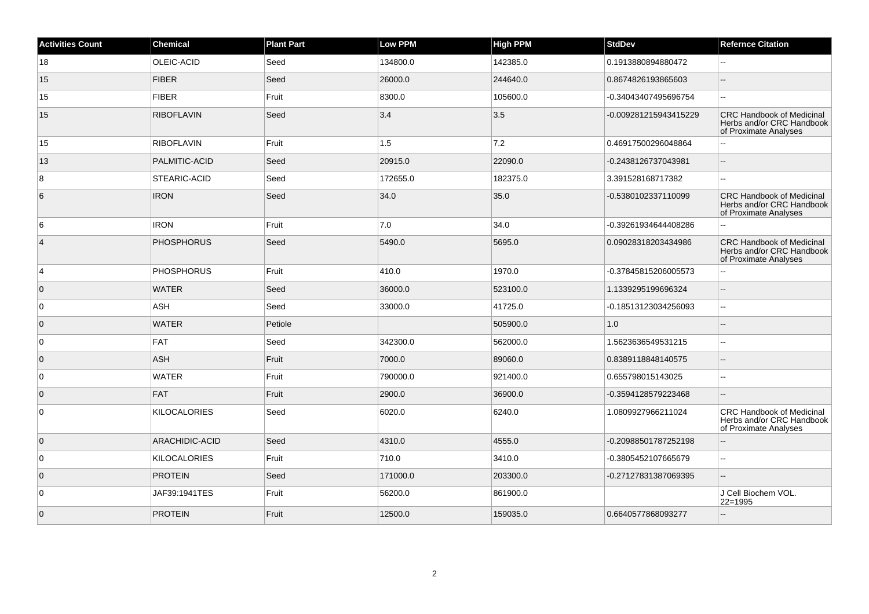| <b>Activities Count</b> | <b>Chemical</b>     | <b>Plant Part</b> | <b>Low PPM</b> | <b>High PPM</b> | <b>StdDev</b>         | <b>Refernce Citation</b>                                                               |
|-------------------------|---------------------|-------------------|----------------|-----------------|-----------------------|----------------------------------------------------------------------------------------|
| 18                      | OLEIC-ACID          | Seed              | 134800.0       | 142385.0        | 0.1913880894880472    | $\overline{\phantom{a}}$                                                               |
| 15                      | <b>FIBER</b>        | Seed              | 26000.0        | 244640.0        | 0.8674826193865603    | --                                                                                     |
| 15                      | <b>FIBER</b>        | Fruit             | 8300.0         | 105600.0        | -0.34043407495696754  | --                                                                                     |
| 15                      | <b>RIBOFLAVIN</b>   | Seed              | 3.4            | 3.5             | -0.009281215943415229 | <b>CRC Handbook of Medicinal</b><br>Herbs and/or CRC Handbook<br>of Proximate Analyses |
| 15                      | <b>RIBOFLAVIN</b>   | Fruit             | 1.5            | 7.2             | 0.46917500296048864   |                                                                                        |
| 13                      | PALMITIC-ACID       | Seed              | 20915.0        | 22090.0         | -0.2438126737043981   | ш,                                                                                     |
| 8                       | <b>STEARIC-ACID</b> | Seed              | 172655.0       | 182375.0        | 3.391528168717382     | шш.                                                                                    |
| 6                       | <b>IRON</b>         | Seed              | 34.0           | 35.0            | -0.5380102337110099   | <b>CRC Handbook of Medicinal</b><br>Herbs and/or CRC Handbook<br>of Proximate Analyses |
| 6                       | <b>IRON</b>         | Fruit             | 7.0            | 34.0            | -0.39261934644408286  | Щ,                                                                                     |
| $\overline{4}$          | <b>PHOSPHORUS</b>   | Seed              | 5490.0         | 5695.0          | 0.09028318203434986   | <b>CRC Handbook of Medicinal</b><br>Herbs and/or CRC Handbook<br>of Proximate Analyses |
| $\overline{4}$          | <b>PHOSPHORUS</b>   | Fruit             | 410.0          | 1970.0          | -0.37845815206005573  | 44                                                                                     |
| $\overline{0}$          | <b>WATER</b>        | Seed              | 36000.0        | 523100.0        | 1.1339295199696324    | --                                                                                     |
| $\overline{0}$          | ASH                 | Seed              | 33000.0        | 41725.0         | -0.18513123034256093  | Ξ.                                                                                     |
| $\overline{0}$          | <b>WATER</b>        | Petiole           |                | 505900.0        | 1.0                   | --                                                                                     |
| $\overline{0}$          | <b>FAT</b>          | Seed              | 342300.0       | 562000.0        | 1.5623636549531215    | Ξ.                                                                                     |
| $\overline{0}$          | ASH                 | Fruit             | 7000.0         | 89060.0         | 0.8389118848140575    | $-$                                                                                    |
| $\overline{0}$          | <b>WATER</b>        | Fruit             | 790000.0       | 921400.0        | 0.655798015143025     | ۵.                                                                                     |
| $\overline{0}$          | <b>FAT</b>          | Fruit             | 2900.0         | 36900.0         | -0.3594128579223468   |                                                                                        |
| $\overline{0}$          | <b>KILOCALORIES</b> | Seed              | 6020.0         | 6240.0          | 1.0809927966211024    | <b>CRC Handbook of Medicinal</b><br>Herbs and/or CRC Handbook<br>of Proximate Analyses |
| $\overline{0}$          | ARACHIDIC-ACID      | Seed              | 4310.0         | 4555.0          | -0.20988501787252198  | $-$                                                                                    |
| $\overline{0}$          | <b>KILOCALORIES</b> | Fruit             | 710.0          | 3410.0          | -0.3805452107665679   | $\overline{\phantom{a}}$                                                               |
| $\overline{0}$          | <b>PROTEIN</b>      | Seed              | 171000.0       | 203300.0        | -0.27127831387069395  | ۵.                                                                                     |
| $\overline{0}$          | JAF39:1941TES       | Fruit             | 56200.0        | 861900.0        |                       | J Cell Biochem VOL.<br>22=1995                                                         |
| $\overline{0}$          | <b>PROTEIN</b>      | Fruit             | 12500.0        | 159035.0        | 0.6640577868093277    |                                                                                        |